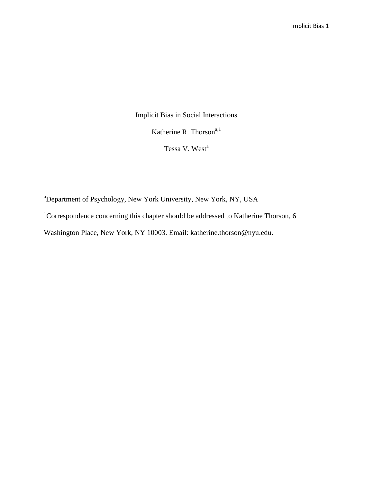Implicit Bias in Social Interactions Katherine R. Thorson<sup>a,1</sup>

Tessa V. West<sup>a</sup>

<sup>a</sup>Department of Psychology, New York University, New York, NY, USA

<sup>1</sup>Correspondence concerning this chapter should be addressed to Katherine Thorson, 6

Washington Place, New York, NY 10003. Email: katherine.thorson@nyu.edu.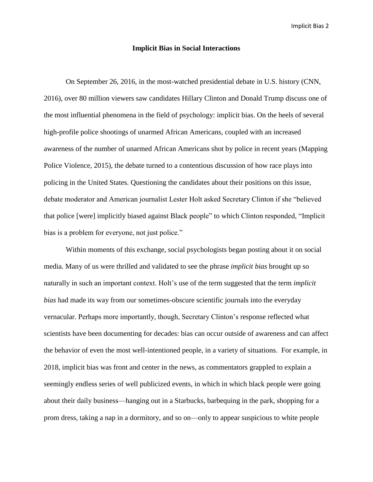### **Implicit Bias in Social Interactions**

On September 26, 2016, in the most-watched presidential debate in U.S. history (CNN, 2016), over 80 million viewers saw candidates Hillary Clinton and Donald Trump discuss one of the most influential phenomena in the field of psychology: implicit bias. On the heels of several high-profile police shootings of unarmed African Americans, coupled with an increased awareness of the number of unarmed African Americans shot by police in recent years (Mapping Police Violence, 2015), the debate turned to a contentious discussion of how race plays into policing in the United States. Questioning the candidates about their positions on this issue, debate moderator and American journalist Lester Holt asked Secretary Clinton if she "believed that police [were] implicitly biased against Black people" to which Clinton responded, "Implicit bias is a problem for everyone, not just police."

Within moments of this exchange, social psychologists began posting about it on social media. Many of us were thrilled and validated to see the phrase *implicit bias* brought up so naturally in such an important context. Holt's use of the term suggested that the term *implicit bias* had made its way from our sometimes-obscure scientific journals into the everyday vernacular. Perhaps more importantly, though, Secretary Clinton's response reflected what scientists have been documenting for decades: bias can occur outside of awareness and can affect the behavior of even the most well-intentioned people, in a variety of situations. For example, in 2018, implicit bias was front and center in the news, as commentators grappled to explain a seemingly endless series of well publicized events, in which in which black people were going about their daily business—hanging out in a Starbucks, barbequing in the park, shopping for a prom dress, taking a nap in a dormitory, and so on—only to appear suspicious to white people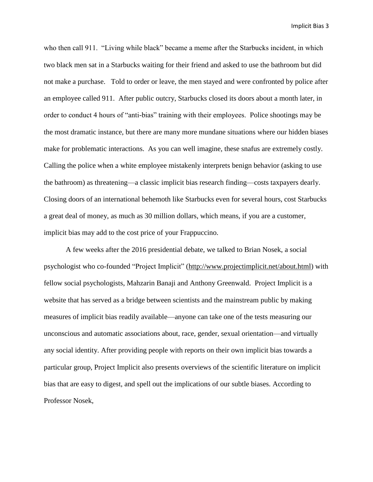who then call 911. "Living while black" became a meme after the Starbucks incident, in which two black men sat in a Starbucks waiting for their friend and asked to use the bathroom but did not make a purchase. Told to order or leave, the men stayed and were confronted by police after an employee called 911. After public outcry, Starbucks closed its doors about a month later, in order to conduct 4 hours of "anti-bias" training with their employees. Police shootings may be the most dramatic instance, but there are many more mundane situations where our hidden biases make for problematic interactions. As you can well imagine, these snafus are extremely costly. Calling the police when a white employee mistakenly interprets benign behavior (asking to use the bathroom) as threatening—a classic implicit bias research finding—costs taxpayers dearly. Closing doors of an international behemoth like Starbucks even for several hours, cost Starbucks a great deal of money, as much as 30 million dollars, which means, if you are a customer, implicit bias may add to the cost price of your Frappuccino.

A few weeks after the 2016 presidential debate, we talked to Brian Nosek, a social psychologist who co-founded "Project Implicit" [\(http://www.projectimplicit.net/about.html\)](http://www.projectimplicit.net/about.html) with fellow social psychologists, Mahzarin Banaji and Anthony Greenwald. Project Implicit is a website that has served as a bridge between scientists and the mainstream public by making measures of implicit bias readily available—anyone can take one of the tests measuring our unconscious and automatic associations about, race, gender, sexual orientation—and virtually any social identity. After providing people with reports on their own implicit bias towards a particular group, Project Implicit also presents overviews of the scientific literature on implicit bias that are easy to digest, and spell out the implications of our subtle biases. According to Professor Nosek,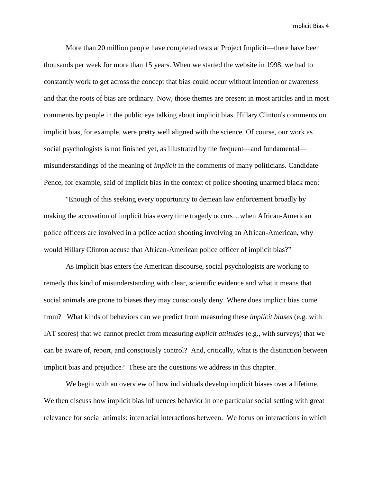More than 20 million people have completed tests at Project Implicit—there have been thousands per week for more than 15 years. When we started the website in 1998, we had to constantly work to get across the concept that bias could occur without intention or awareness and that the roots of bias are ordinary. Now, those themes are present in most articles and in most comments by people in the public eye talking about implicit bias. Hillary Clinton's comments on implicit bias, for example, were pretty well aligned with the science. Of course, our work as social psychologists is not finished yet, as illustrated by the frequent—and fundamental misunderstandings of the meaning of *implicit* in the comments of many politicians. Candidate Pence, for example, said of implicit bias in the context of police shooting unarmed black men:

"Enough of this seeking every opportunity to demean law enforcement broadly by making the accusation of implicit bias every time tragedy occurs…when African-American police officers are involved in a police action shooting involving an African-American, why would Hillary Clinton accuse that African-American police officer of implicit bias?"

As implicit bias enters the American discourse, social psychologists are working to remedy this kind of misunderstanding with clear, scientific evidence and what it means that social animals are prone to biases they may consciously deny. Where does implicit bias come from? What kinds of behaviors can we predict from measuring these *implicit biases* (e.g. with IAT scores) that we cannot predict from measuring *explicit attitudes* (e.g., with surveys) that we can be aware of, report, and consciously control? And, critically, what is the distinction between implicit bias and prejudice? These are the questions we address in this chapter.

We begin with an overview of how individuals develop implicit biases over a lifetime. We then discuss how implicit bias influences behavior in one particular social setting with great relevance for social animals: interracial interactions between. We focus on interactions in which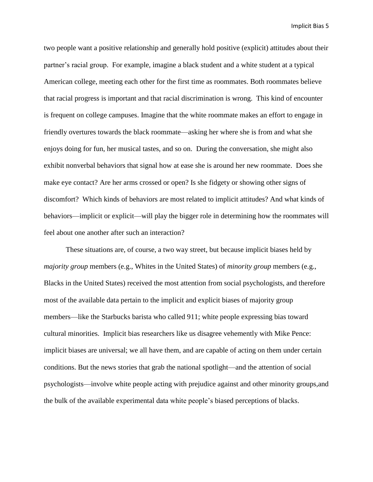two people want a positive relationship and generally hold positive (explicit) attitudes about their partner's racial group. For example, imagine a black student and a white student at a typical American college, meeting each other for the first time as roommates. Both roommates believe that racial progress is important and that racial discrimination is wrong. This kind of encounter is frequent on college campuses. Imagine that the white roommate makes an effort to engage in friendly overtures towards the black roommate—asking her where she is from and what she enjoys doing for fun, her musical tastes, and so on. During the conversation, she might also exhibit nonverbal behaviors that signal how at ease she is around her new roommate. Does she make eye contact? Are her arms crossed or open? Is she fidgety or showing other signs of discomfort? Which kinds of behaviors are most related to implicit attitudes? And what kinds of behaviors—implicit or explicit—will play the bigger role in determining how the roommates will feel about one another after such an interaction?

These situations are, of course, a two way street, but because implicit biases held by *majority group* members (e.g., Whites in the United States) of *minority group* members (e.g., Blacks in the United States) received the most attention from social psychologists, and therefore most of the available data pertain to the implicit and explicit biases of majority group members—like the Starbucks barista who called 911; white people expressing bias toward cultural minorities. Implicit bias researchers like us disagree vehemently with Mike Pence: implicit biases are universal; we all have them, and are capable of acting on them under certain conditions. But the news stories that grab the national spotlight—and the attention of social psychologists—involve white people acting with prejudice against and other minority groups,and the bulk of the available experimental data white people's biased perceptions of blacks.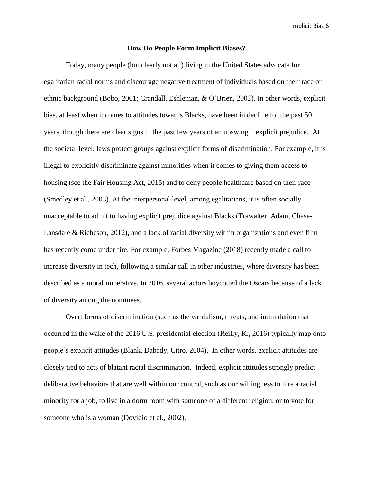### **How Do People Form Implicit Biases?**

Today, many people (but clearly not all) living in the United States advocate for egalitarian racial norms and discourage negative treatment of individuals based on their race or ethnic background (Bobo, 2001; Crandall, Eshleman, & O'Brien, 2002). In other words, explicit bias, at least when it comes to attitudes towards Blacks, have been in decline for the past 50 years, though there are clear signs in the past few years of an upswing inexplicit prejudice. At the societal level, laws protect groups against explicit forms of discrimination. For example, it is illegal to explicitly discriminate against minorities when it comes to giving them access to housing (see the Fair Housing Act, 2015) and to deny people healthcare based on their race (Smedley et al., 2003). At the interpersonal level, among egalitarians, it is often socially unacceptable to admit to having explicit prejudice against Blacks (Trawalter, Adam, Chase-Lansdale & Richeson, 2012), and a lack of racial diversity within organizations and even film has recently come under fire. For example, Forbes Magazine (2018) recently made a call to increase diversity in tech, following a similar call in other industries, where diversity has been described as a moral imperative. In 2016, several actors boycotted the Oscars because of a lack of diversity among the nominees.

Overt forms of discrimination (such as the vandalism, threats, and intimidation that occurred in the wake of the 2016 U.S. presidential election (Reilly, K., 2016) typically map onto people's explicit attitudes (Blank, Dabady, Citro, 2004). In other words, explicit attitudes are closely tied to acts of blatant racial discrimination. Indeed, explicit attitudes strongly predict deliberative behaviors that are well within our control, such as our willingness to hire a racial minority for a job, to live in a dorm room with someone of a different religion, or to vote for someone who is a woman (Dovidio et al., 2002).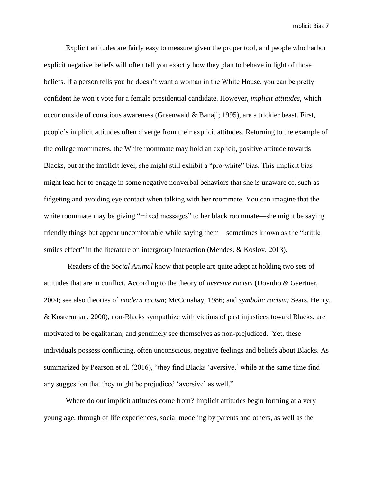Explicit attitudes are fairly easy to measure given the proper tool, and people who harbor explicit negative beliefs will often tell you exactly how they plan to behave in light of those beliefs. If a person tells you he doesn't want a woman in the White House, you can be pretty confident he won't vote for a female presidential candidate. However, *implicit attitudes*, which occur outside of conscious awareness (Greenwald & Banaji; 1995), are a trickier beast. First, people's implicit attitudes often diverge from their explicit attitudes. Returning to the example of the college roommates, the White roommate may hold an explicit, positive attitude towards Blacks, but at the implicit level, she might still exhibit a "pro-white" bias. This implicit bias might lead her to engage in some negative nonverbal behaviors that she is unaware of, such as fidgeting and avoiding eye contact when talking with her roommate. You can imagine that the white roommate may be giving "mixed messages" to her black roommate—she might be saying friendly things but appear uncomfortable while saying them—sometimes known as the "brittle smiles effect" in the literature on intergroup interaction (Mendes. & Koslov, 2013).

Readers of the *Social Animal* know that people are quite adept at holding two sets of attitudes that are in conflict. According to the theory of *aversive racism* (Dovidio & Gaertner, 2004; see also theories of *modern racism*; McConahay, 1986; and *symbolic racism;* Sears, Henry, & Kosternman, 2000)*,* non-Blacks sympathize with victims of past injustices toward Blacks, are motivated to be egalitarian, and genuinely see themselves as non-prejudiced. Yet, these individuals possess conflicting, often unconscious, negative feelings and beliefs about Blacks. As summarized by Pearson et al. (2016), "they find Blacks 'aversive,' while at the same time find any suggestion that they might be prejudiced 'aversive' as well."

Where do our implicit attitudes come from? Implicit attitudes begin forming at a very young age, through of life experiences, social modeling by parents and others, as well as the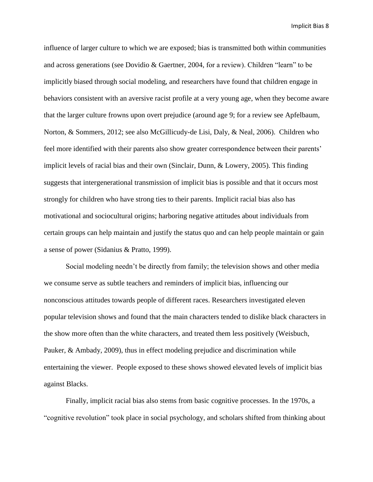influence of larger culture to which we are exposed; bias is transmitted both within communities and across generations (see Dovidio & Gaertner, 2004, for a review). Children "learn" to be implicitly biased through social modeling, and researchers have found that children engage in behaviors consistent with an aversive racist profile at a very young age, when they become aware that the larger culture frowns upon overt prejudice (around age 9; for a review see Apfelbaum, Norton, & Sommers, 2012; see also McGillicudy-de Lisi, Daly, & Neal, 2006). Children who feel more identified with their parents also show greater correspondence between their parents' implicit levels of racial bias and their own (Sinclair, Dunn, & Lowery, 2005). This finding suggests that intergenerational transmission of implicit bias is possible and that it occurs most strongly for children who have strong ties to their parents. Implicit racial bias also has motivational and sociocultural origins; harboring negative attitudes about individuals from certain groups can help maintain and justify the status quo and can help people maintain or gain a sense of power (Sidanius & Pratto, 1999).

Social modeling needn't be directly from family; the television shows and other media we consume serve as subtle teachers and reminders of implicit bias, influencing our nonconscious attitudes towards people of different races. Researchers investigated eleven popular television shows and found that the main characters tended to dislike black characters in the show more often than the white characters, and treated them less positively (Weisbuch, Pauker, & Ambady, 2009), thus in effect modeling prejudice and discrimination while entertaining the viewer. People exposed to these shows showed elevated levels of implicit bias against Blacks.

Finally, implicit racial bias also stems from basic cognitive processes. In the 1970s, a "cognitive revolution" took place in social psychology, and scholars shifted from thinking about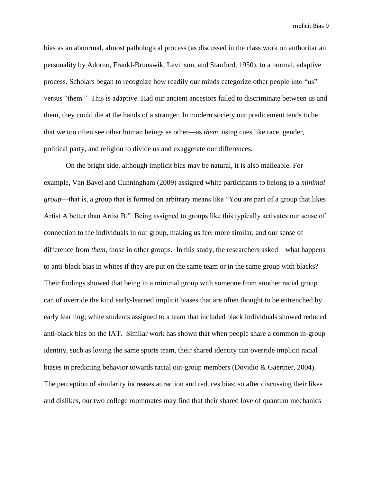bias as an abnormal, almost pathological process (as discussed in the class work on authoritarian personality by Adorno, Frankl-Brunswik, Levinson, and Stanford, 1950), to a normal, adaptive process. Scholars began to recognize how readily our minds categorize other people into "us" versus "them." This is adaptive. Had our ancient ancestors failed to discriminate between us and them, they could die at the hands of a stranger. In modern society our predicament tends to be that we too often see other human beings as other—as *them*, using cues like race, gender, political party, and religion to divide us and exaggerate our differences.

On the bright side, although implicit bias may be natural, it is also malleable. For example, Van Bavel and Cunningham (2009) assigned white participants to belong to a *minimal group*—that is, a group that is formed on arbitrary means like "You are part of a group that likes Artist A better than Artist B." Being assigned to groups like this typically activates our sense of connection to the individuals in our group, making us feel more similar, and our sense of difference from *them*, those in other groups. In this study, the researchers asked—what happens to anti-black bias in whites if they are put on the same team or in the same group with blacks? Their findings showed that being in a minimal group with someone from another racial group can of override the kind early-learned implicit biases that are often thought to be entrenched by early learning; white students assigned to a team that included black individuals showed reduced anti-black bias on the IAT. Similar work has shown that when people share a common in-group identity, such as loving the same sports team, their shared identity can override implicit racial biases in predicting behavior towards racial out-group members (Dovidio & Gaertner, 2004). The perception of similarity increases attraction and reduces bias; so after discussing their likes and dislikes, our two college roommates may find that their shared love of quantum mechanics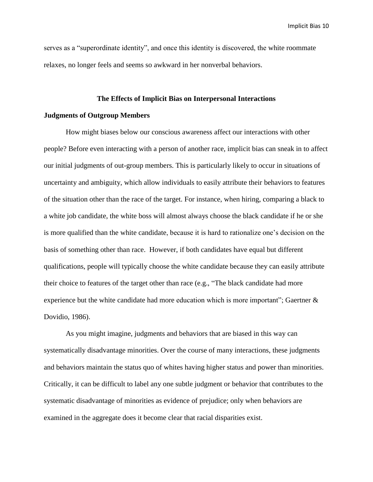serves as a "superordinate identity", and once this identity is discovered, the white roommate relaxes, no longer feels and seems so awkward in her nonverbal behaviors.

# **The Effects of Implicit Bias on Interpersonal Interactions**

## **Judgments of Outgroup Members**

How might biases below our conscious awareness affect our interactions with other people? Before even interacting with a person of another race, implicit bias can sneak in to affect our initial judgments of out-group members. This is particularly likely to occur in situations of uncertainty and ambiguity, which allow individuals to easily attribute their behaviors to features of the situation other than the race of the target. For instance, when hiring, comparing a black to a white job candidate, the white boss will almost always choose the black candidate if he or she is more qualified than the white candidate, because it is hard to rationalize one's decision on the basis of something other than race. However, if both candidates have equal but different qualifications, people will typically choose the white candidate because they can easily attribute their choice to features of the target other than race (e.g., "The black candidate had more experience but the white candidate had more education which is more important"; Gaertner & Dovidio, 1986).

As you might imagine, judgments and behaviors that are biased in this way can systematically disadvantage minorities. Over the course of many interactions, these judgments and behaviors maintain the status quo of whites having higher status and power than minorities. Critically, it can be difficult to label any one subtle judgment or behavior that contributes to the systematic disadvantage of minorities as evidence of prejudice; only when behaviors are examined in the aggregate does it become clear that racial disparities exist.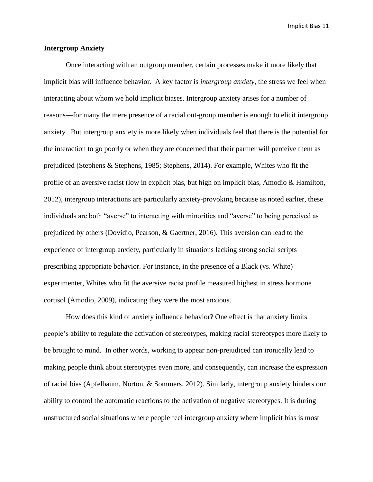# **Intergroup Anxiety**

Once interacting with an outgroup member, certain processes make it more likely that implicit bias will influence behavior. A key factor is *intergroup anxiety*, the stress we feel when interacting about whom we hold implicit biases. Intergroup anxiety arises for a number of reasons—for many the mere presence of a racial out-group member is enough to elicit intergroup anxiety. But intergroup anxiety is more likely when individuals feel that there is the potential for the interaction to go poorly or when they are concerned that their partner will perceive them as prejudiced (Stephens & Stephens, 1985; Stephens, 2014). For example, Whites who fit the profile of an aversive racist (low in explicit bias, but high on implicit bias, Amodio & Hamilton, 2012), intergroup interactions are particularly anxiety-provoking because as noted earlier, these individuals are both "averse" to interacting with minorities and "averse" to being perceived as prejudiced by others (Dovidio, Pearson, & Gaertner, 2016). This aversion can lead to the experience of intergroup anxiety, particularly in situations lacking strong social scripts prescribing appropriate behavior. For instance, in the presence of a Black (vs. White) experimenter, Whites who fit the aversive racist profile measured highest in stress hormone cortisol (Amodio, 2009), indicating they were the most anxious.

How does this kind of anxiety influence behavior? One effect is that anxiety limits people's ability to regulate the activation of stereotypes, making racial stereotypes more likely to be brought to mind. In other words, working to appear non-prejudiced can ironically lead to making people think about stereotypes even more, and consequently, can increase the expression of racial bias (Apfelbaum, Norton, & Sommers, 2012). Similarly, intergroup anxiety hinders our ability to control the automatic reactions to the activation of negative stereotypes. It is during unstructured social situations where people feel intergroup anxiety where implicit bias is most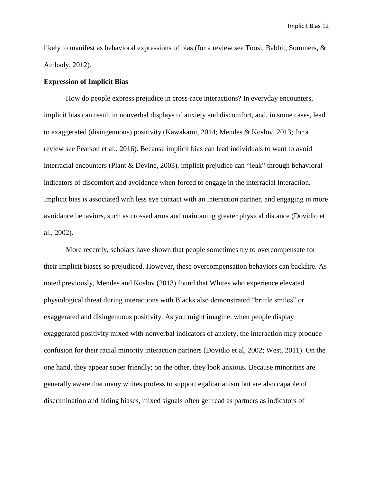likely to manifest as behavioral expressions of bias (for a review see Toosi, Babbit, Sommers, & Ambady, 2012).

# **Expression of Implicit Bias**

How do people express prejudice in cross-race interactions? In everyday encounters, implicit bias can result in nonverbal displays of anxiety and discomfort, and, in some cases, lead to exaggerated (disingenuous) positivity (Kawakami, 2014; Mendes & Koslov, 2013; for a review see Pearson et al., 2016). Because implicit bias can lead individuals to want to avoid interracial encounters (Plant & Devine, 2003), implicit prejudice can "leak" through behavioral indicators of discomfort and avoidance when forced to engage in the interracial interaction. Implicit bias is associated with less eye contact with an interaction partner, and engaging in more avoidance behaviors, such as crossed arms and maintaning greater physical distance (Dovidio et al., 2002).

More recently, scholars have shown that people sometimes try to overcompensate for their implicit biases so prejudiced. However, these overcompensation behaviors can backfire. As noted previously, Mendes and Koslov (2013) found that Whites who experience elevated physiological threat during interactions with Blacks also demonstrated "brittle smiles" or exaggerated and disingenuous positivity. As you might imagine, when people display exaggerated positivity mixed with nonverbal indicators of anxiety, the interaction may produce confusion for their racial minority interaction partners (Dovidio et al, 2002; West, 2011). On the one hand, they appear super friendly; on the other, they look anxious. Because minorities are generally aware that many whites profess to support egalitarianism but are also capable of discrimination and hiding biases, mixed signals often get read as partners as indicators of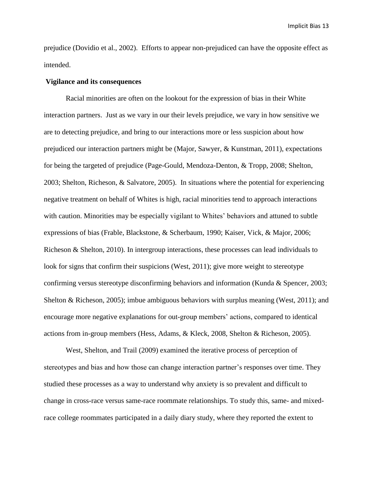prejudice (Dovidio et al., 2002). Efforts to appear non-prejudiced can have the opposite effect as intended.

### **Vigilance and its consequences**

Racial minorities are often on the lookout for the expression of bias in their White interaction partners. Just as we vary in our their levels prejudice, we vary in how sensitive we are to detecting prejudice, and bring to our interactions more or less suspicion about how prejudiced our interaction partners might be (Major, Sawyer, & Kunstman, 2011), expectations for being the targeted of prejudice (Page-Gould, Mendoza-Denton, & Tropp, 2008; Shelton, 2003; Shelton, Richeson, & Salvatore, 2005). In situations where the potential for experiencing negative treatment on behalf of Whites is high, racial minorities tend to approach interactions with caution. Minorities may be especially vigilant to Whites' behaviors and attuned to subtle expressions of bias (Frable, Blackstone, & Scherbaum, 1990; Kaiser, Vick, & Major, 2006; Richeson & Shelton, 2010). In intergroup interactions, these processes can lead individuals to look for signs that confirm their suspicions (West, 2011); give more weight to stereotype confirming versus stereotype disconfirming behaviors and information (Kunda & Spencer, 2003; Shelton & Richeson, 2005); imbue ambiguous behaviors with surplus meaning (West, 2011); and encourage more negative explanations for out-group members' actions, compared to identical actions from in-group members (Hess, Adams, & Kleck, 2008, Shelton & Richeson, 2005).

West, Shelton, and Trail (2009) examined the iterative process of perception of stereotypes and bias and how those can change interaction partner's responses over time. They studied these processes as a way to understand why anxiety is so prevalent and difficult to change in cross-race versus same-race roommate relationships. To study this, same- and mixedrace college roommates participated in a daily diary study, where they reported the extent to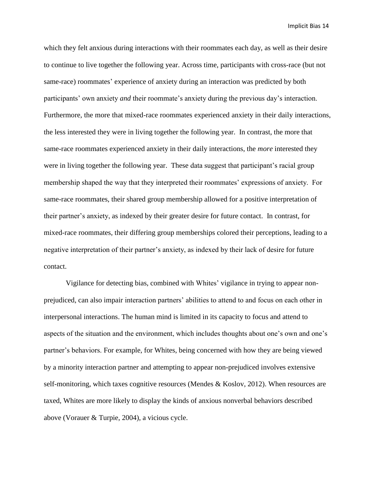which they felt anxious during interactions with their roommates each day, as well as their desire to continue to live together the following year. Across time, participants with cross-race (but not same-race) roommates' experience of anxiety during an interaction was predicted by both participants' own anxiety *and* their roommate's anxiety during the previous day's interaction. Furthermore, the more that mixed-race roommates experienced anxiety in their daily interactions, the less interested they were in living together the following year. In contrast, the more that same-race roommates experienced anxiety in their daily interactions, the *more* interested they were in living together the following year. These data suggest that participant's racial group membership shaped the way that they interpreted their roommates' expressions of anxiety. For same-race roommates, their shared group membership allowed for a positive interpretation of their partner's anxiety, as indexed by their greater desire for future contact. In contrast, for mixed-race roommates, their differing group memberships colored their perceptions, leading to a negative interpretation of their partner's anxiety, as indexed by their lack of desire for future contact.

Vigilance for detecting bias, combined with Whites' vigilance in trying to appear nonprejudiced, can also impair interaction partners' abilities to attend to and focus on each other in interpersonal interactions. The human mind is limited in its capacity to focus and attend to aspects of the situation and the environment, which includes thoughts about one's own and one's partner's behaviors. For example, for Whites, being concerned with how they are being viewed by a minority interaction partner and attempting to appear non-prejudiced involves extensive self-monitoring, which taxes cognitive resources (Mendes & Koslov, 2012). When resources are taxed, Whites are more likely to display the kinds of anxious nonverbal behaviors described above (Vorauer & Turpie, 2004), a vicious cycle.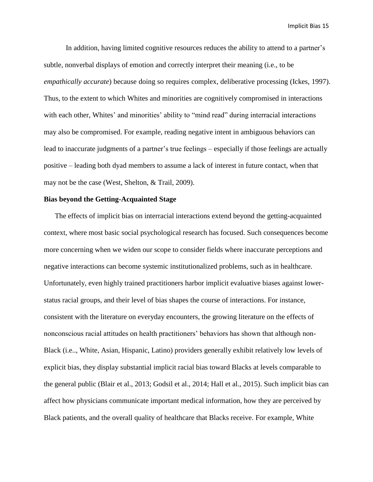In addition, having limited cognitive resources reduces the ability to attend to a partner's subtle, nonverbal displays of emotion and correctly interpret their meaning (i.e., to be *empathically accurate*) because doing so requires complex, deliberative processing (Ickes, 1997). Thus, to the extent to which Whites and minorities are cognitively compromised in interactions with each other, Whites' and minorities' ability to "mind read" during interracial interactions may also be compromised. For example, reading negative intent in ambiguous behaviors can lead to inaccurate judgments of a partner's true feelings – especially if those feelings are actually positive – leading both dyad members to assume a lack of interest in future contact, when that may not be the case (West, Shelton, & Trail, 2009).

# **Bias beyond the Getting-Acquainted Stage**

The effects of implicit bias on interracial interactions extend beyond the getting-acquainted context, where most basic social psychological research has focused. Such consequences become more concerning when we widen our scope to consider fields where inaccurate perceptions and negative interactions can become systemic institutionalized problems, such as in healthcare. Unfortunately, even highly trained practitioners harbor implicit evaluative biases against lowerstatus racial groups, and their level of bias shapes the course of interactions. For instance, consistent with the literature on everyday encounters, the growing literature on the effects of nonconscious racial attitudes on health practitioners' behaviors has shown that although non-Black (i.e.., White, Asian, Hispanic, Latino) providers generally exhibit relatively low levels of explicit bias, they display substantial implicit racial bias toward Blacks at levels comparable to the general public (Blair et al., 2013; Godsil et al., 2014; Hall et al., 2015). Such implicit bias can affect how physicians communicate important medical information, how they are perceived by Black patients, and the overall quality of healthcare that Blacks receive. For example, White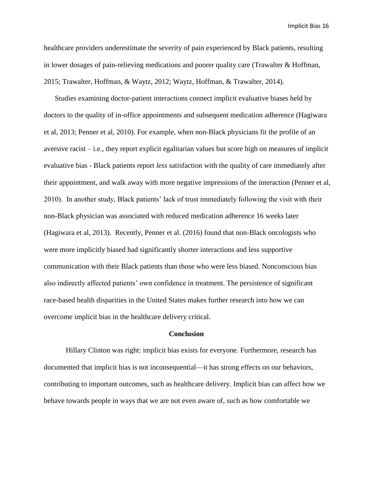healthcare providers underestimate the severity of pain experienced by Black patients, resulting in lower dosages of pain-relieving medications and poorer quality care (Trawalter & Hoffman, 2015; Trawalter, Hoffman, & Waytz, 2012; Waytz, Hoffman, & Trawalter, 2014).

Studies examining doctor-patient interactions connect implicit evaluative biases held by doctors to the quality of in-office appointments and subsequent medication adherence (Hagiwara et al, 2013; Penner et al, 2010). For example, when non-Black physicians fit the profile of an aversive racist – i.e., they report explicit egalitarian values but score high on measures of implicit evaluative bias - Black patients report *less* satisfaction with the quality of care immediately after their appointment, and walk away with more negative impressions of the interaction (Penner et al, 2010). In another study, Black patients' lack of trust immediately following the visit with their non-Black physician was associated with reduced medication adherence 16 weeks later (Hagiwara et al, 2013). Recently, Penner et al. (2016) found that non-Black oncologists who were more implicitly biased had significantly shorter interactions and less supportive communication with their Black patients than those who were less biased. Nonconscious bias also indirectly affected patients' own confidence in treatment. The persistence of significant race-based health disparities in the United States makes further research into how we can overcome implicit bias in the healthcare delivery critical.

### **Conclusion**

Hillary Clinton was right: implicit bias exists for everyone. Furthermore, research has documented that implicit bias is not inconsequential—it has strong effects on our behaviors, contributing to important outcomes, such as healthcare delivery. Implicit bias can affect how we behave towards people in ways that we are not even aware of, such as how comfortable we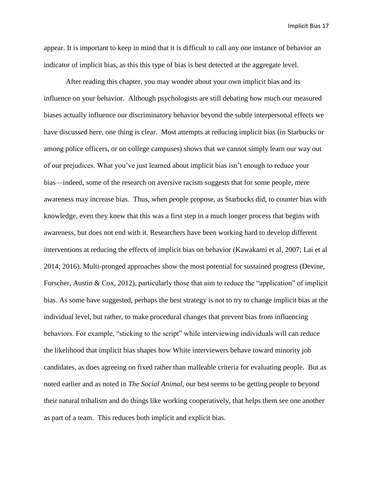appear. It is important to keep in mind that it is difficult to call any one instance of behavior an indicator of implicit bias, as this this type of bias is best detected at the aggregate level.

After reading this chapter, you may wonder about your own implicit bias and its influence on your behavior. Although psychologists are still debating how much our measured biases actually influence our discriminatory behavior beyond the subtle interpersonal effects we have discussed here, one thing is clear. Most attempts at reducing implicit bias (in Starbucks or among police officers, or on college campuses) shows that we cannot simply learn our way out of our prejudices. What you've just learned about implicit bias isn't enough to reduce your bias—indeed, some of the research on aversive racism suggests that for some people, mere awareness may increase bias. Thus, when people propose, as Starbucks did, to counter bias with knowledge, even they knew that this was a first step in a much longer process that begins with awareness, but does not end with it. Researchers have been working hard to develop different interventions at reducing the effects of implicit bias on behavior (Kawakami et al, 2007; Lai et al 2014; 2016). Multi-pronged approaches show the most potential for sustained progress (Devine, Forscher, Austin & Cox, 2012), particularly those that aim to reduce the "application" of implicit bias. As some have suggested, perhaps the best strategy is not to try to change implicit bias at the individual level, but rather, to make procedural changes that prevent bias from influencing behaviors. For example, "sticking to the script" while interviewing individuals will can reduce the likelihood that implicit bias shapes how White interviewers behave toward minority job candidates, as does agreeing on fixed rather than malleable criteria for evaluating people. But as noted earlier and as noted in *The Social Animal*, our best seems to be getting people to beyond their natural tribalism and do things like working cooperatively, that helps them see one another as part of a team. This reduces both implicit and explicit bias.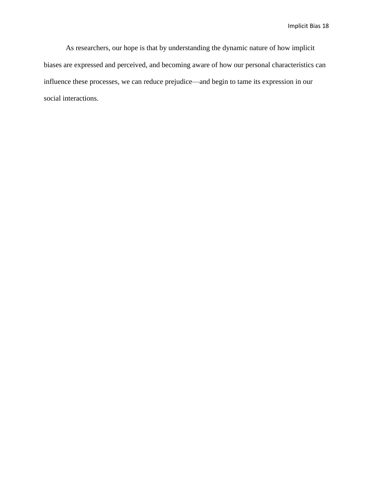As researchers, our hope is that by understanding the dynamic nature of how implicit biases are expressed and perceived, and becoming aware of how our personal characteristics can influence these processes, we can reduce prejudice—and begin to tame its expression in our social interactions.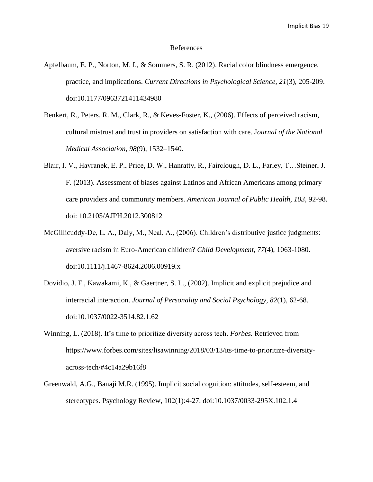#### References

- Apfelbaum, E. P., Norton, M. I., & Sommers, S. R. (2012). Racial color blindness emergence, practice, and implications. *Current Directions in Psychological Science, 21*(3), 205-209. doi:10.1177/0963721411434980
- Benkert, R., Peters, R. M., Clark, R., & Keves-Foster, K., (2006). Effects of perceived racism, cultural mistrust and trust in providers on satisfaction with care. J*ournal of the National Medical Association*, *98*(9), 1532–1540.
- Blair, I. V., Havranek, E. P., Price, D. W., Hanratty, R., Fairclough, D. L., Farley, T…Steiner, J. F. (2013). Assessment of biases against Latinos and African Americans among primary care providers and community members. *American Journal of Public Health, 103,* 92-98. doi: 10.2105/AJPH.2012.300812
- McGillicuddy-De, L. A., Daly, M., Neal, A., (2006). Children's distributive justice judgments: aversive racism in Euro-American children? *Child Development, 77*(4), 1063-1080. doi:10.1111/j.1467-8624.2006.00919.x
- Dovidio, J. F., Kawakami, K., & Gaertner, S. L., (2002). Implicit and explicit prejudice and interracial interaction. *Journal of Personality and Social Psychology, 82*(1), 62-68. doi:10.1037/0022-3514.82.1.62
- Winning, L. (2018). It's time to prioritize diversity across tech. *Forbes.* Retrieved from https://www.forbes.com/sites/lisawinning/2018/03/13/its-time-to-prioritize-diversityacross-tech/#4c14a29b16f8
- Greenwald, A.G., Banaji M.R. (1995). Implicit social cognition: attitudes, self-esteem, and stereotypes. Psychology Review, 102(1):4-27. doi:10.1037/0033-295X.102.1.4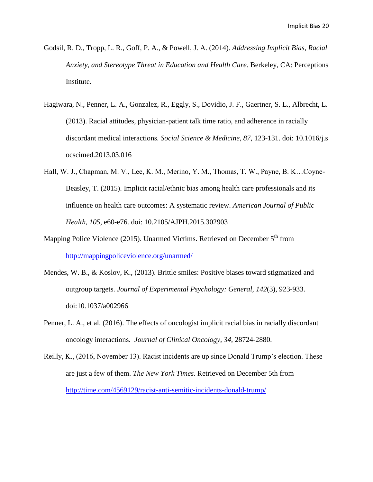- Godsil, R. D., Tropp, L. R., Goff, P. A., & Powell, J. A. (2014). *Addressing Implicit Bias, Racial Anxiety, and Stereotype Threat in Education and Health Care*. Berkeley, CA: Perceptions Institute.
- Hagiwara, N., Penner, L. A., Gonzalez, R., Eggly, S., Dovidio, J. F., Gaertner, S. L., Albrecht, L. (2013). Racial attitudes, physician-patient talk time ratio, and adherence in racially discordant medical interactions*. Social Science & Medicine, 87*, 123-131. doi: 10.1016/j.s ocscimed.2013.03.016
- Hall, W. J., Chapman, M. V., Lee, K. M., Merino, Y. M., Thomas, T. W., Payne, B. K…Coyne-Beasley, T. (2015). Implicit racial/ethnic bias among health care professionals and its influence on health care outcomes: A systematic review. *American Journal of Public Health, 105,* e60-e76. doi: 10.2105/AJPH.2015.302903
- Mapping Police Violence (2015). Unarmed Victims. Retrieved on December  $5<sup>th</sup>$  from <http://mappingpoliceviolence.org/unarmed/>
- Mendes, W. B., & Koslov, K., (2013). Brittle smiles: Positive biases toward stigmatized and outgroup targets. *Journal of Experimental Psychology: General, 142*(3), 923-933. doi:10.1037/a002966
- Penner, L. A., et al. (2016). The effects of oncologist implicit racial bias in racially discordant oncology interactions. *Journal of Clinical Oncology, 34,* 28724-2880.
- Reilly, K., (2016, November 13). Racist incidents are up since Donald Trump's election. These are just a few of them. *The New York Times.* Retrieved on December 5th from <http://time.com/4569129/racist-anti-semitic-incidents-donald-trump/>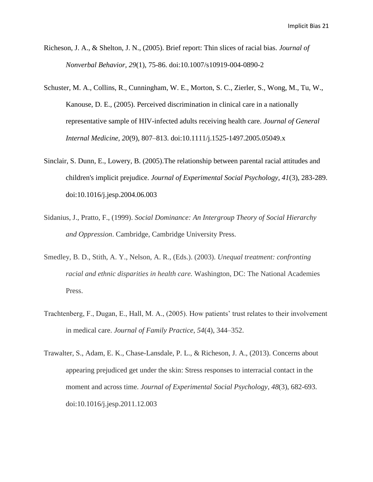- Richeson, J. A., & Shelton, J. N., (2005). Brief report: Thin slices of racial bias. *Journal of Nonverbal Behavior, 29*(1), 75-86. doi:10.1007/s10919-004-0890-2
- Schuster, M. A., Collins, R., Cunningham, W. E., Morton, S. C., Zierler, S., Wong, M., Tu, W., Kanouse, D. E., (2005). Perceived discrimination in clinical care in a nationally representative sample of HIV-infected adults receiving health care. *Journal of General Internal Medicine, 20*(9), 807–813. doi:10.1111/j.1525-1497.2005.05049.x
- Sinclair, S. Dunn, E., Lowery, B. (2005).The relationship between parental racial attitudes and children's implicit prejudice. *Journal of Experimental Social Psychology, 41*(3), 283-289. doi:10.1016/j.jesp.2004.06.003
- Sidanius, J., Pratto, F., (1999). *Social Dominance: An Intergroup Theory of Social Hierarchy and Oppression*. Cambridge, Cambridge University Press.
- Smedley, B. D., Stith, A. Y., Nelson, A. R., (Eds.). (2003). *Unequal treatment: confronting racial and ethnic disparities in health care.* Washington, DC: The National Academies Press.
- Trachtenberg, F., Dugan, E., Hall, M. A., (2005). How patients' trust relates to their involvement in medical care. *Journal of Family Practice*, *54*(4), 344–352.
- Trawalter, S., Adam, E. K., Chase-Lansdale, P. L., & Richeson, J. A., (2013). Concerns about appearing prejudiced get under the skin: Stress responses to interracial contact in the moment and across time. *Journal of Experimental Social Psychology, 48*(3), 682-693. doi:10.1016/j.jesp.2011.12.003